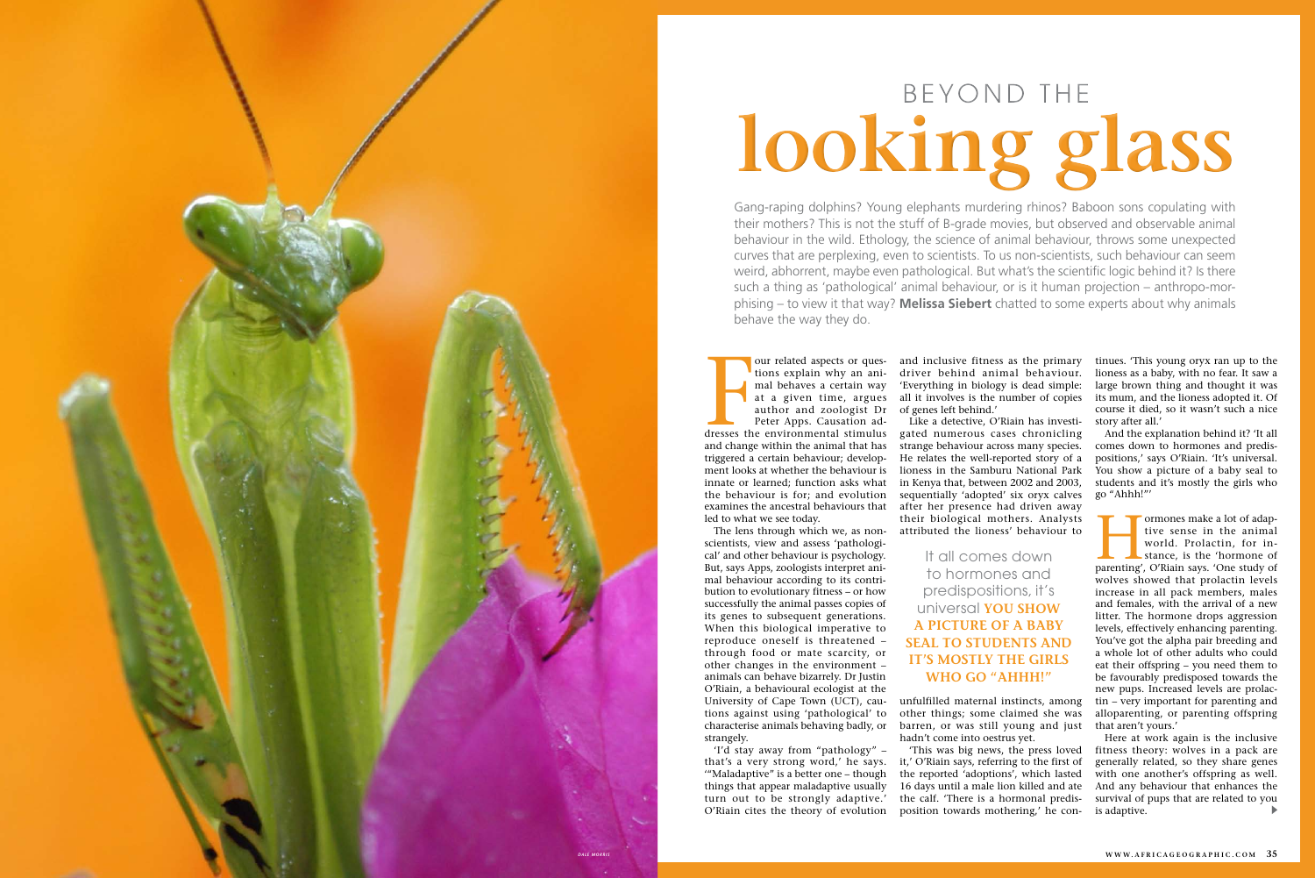Franch and inclusive fitness as the primary<br>tions explain why an ani-<br>driver behind animal behaviour.<br>mal behaves a certain way (Everything in biology is dead simple:<br>at a given time, argues all it involves is the number o tions explain why an animal behaves a certain way author and zoologist Dr of genes left behind.' Peter Apps. Causation adtriggered a certain behaviour; develop-

innate or learned; function asks what the behaviour is for; and evolution examines the ancestral behaviours that

led to what we see today.

The lens through which we, as nonscientists, view and assess 'pathological' and other behaviour is psychology. But, says Apps, zoologists interpret animal behaviour according to its contribution to evolutionary fitness – or how successfully the animal passes copies of its genes to subsequent generations. When this biological imperative to reproduce oneself is threatened – through food or mate scarcity, or other changes in the environment – animals can behave bizarrely. Dr Justin

our related aspects or ques-and inclusive fitness as the primary at a given time, argues all it involves is the number of copies driver behind animal behaviour. 'Everything in biology is dead simple:

and change within the animal that has strange behaviour across many species. ment looks at whether the behaviour is lioness in the Samburu National Park Like a detective, O'Riain has investi-He relates the well-reported story of a in Kenya that, between 2002 and 2003, sequentially 'adopted' six oryx calves after her presence had driven away their biological mothers. Analysts attributed the lioness' behaviour to

strangely.

'"Maladaptive" is a better one – though things that appear maladaptive usually turn out to be strongly adaptive.'

O'Riain, a behavioural ecologist at the University of Cape Town (UCT), cautions against using 'pathological' to characterise animals behaving badly, or 'I'd stay away from "pathology" – unfulfilled maternal instincts, among other things; some claimed she was barren, or was still young and just hadn't come into oestrus yet.

Formones make a lot of adaptive sense in the animal world. Prolactin, for instance, is the 'hormone of parenting', O'Riain says. 'One study of tive sense in the animal world. Prolactin, for instance, is the 'hormone of wolves showed that prolactin levels increase in all pack members, males and females, with the arrival of a new litter. The hormone drops aggression levels, effectively enhancing parenting. You've got the alpha pair breeding and a whole lot of other adults who could eat their offspring – you need them to be favourably predisposed towards the new pups. Increased levels are prolactin – very important for parenting and alloparenting, or parenting offspring that aren't yours.'

that's a very strong word,' he says. it,' O'Riain says, referring to the first of O'Riain cites the theory of evolution position towards mothering,' he con-'This was big news, the press loved the reported 'adoptions', which lasted 16 days until a male lion killed and ate the calf. 'There is a hormonal predis-

tinues. 'This young oryx ran up to the lioness as a baby, with no fear. It saw a large brown thing and thought it was its mum, and the lioness adopted it. Of course it died, so it wasn't such a nice story after all.'

And the explanation behind it? 'It all comes down to hormones and predispositions,' says O'Riain. 'It's universal. You show a picture of a baby seal to students and it's mostly the girls who go "Ahhh!"'

Here at work again is the inclusive fitness theory: wolves in a pack are generally related, so they share genes with one another's offspring as well. And any behaviour that enhances the survival of pups that are related to you is adaptive.

Gang-raping dolphins? Young elephants murdering rhinos? Baboon sons copulating with their mothers? This is not the stuff of B-grade movies, but observed and observable animal behaviour in the wild. Ethology, the science of animal behaviour, throws some unexpected curves that are perplexing, even to scientists. To us non-scientists, such behaviour can seem weird, abhorrent, maybe even pathological. But what's the scientific logic behind it? Is there such a thing as 'pathological' animal behaviour, or is it human projection – anthropo-morphising – to view it that way? **Melissa Siebert** chatted to some experts about why animals behave the way they do.



## **looking glass**

It all comes down to hormones and predispositions, it's universal **YOU SHOW A PICTURE OF A BABY SEAL TO STUDENTS AND IT'S MOSTLY THE GIRLS WHO GO "AHHH!"**

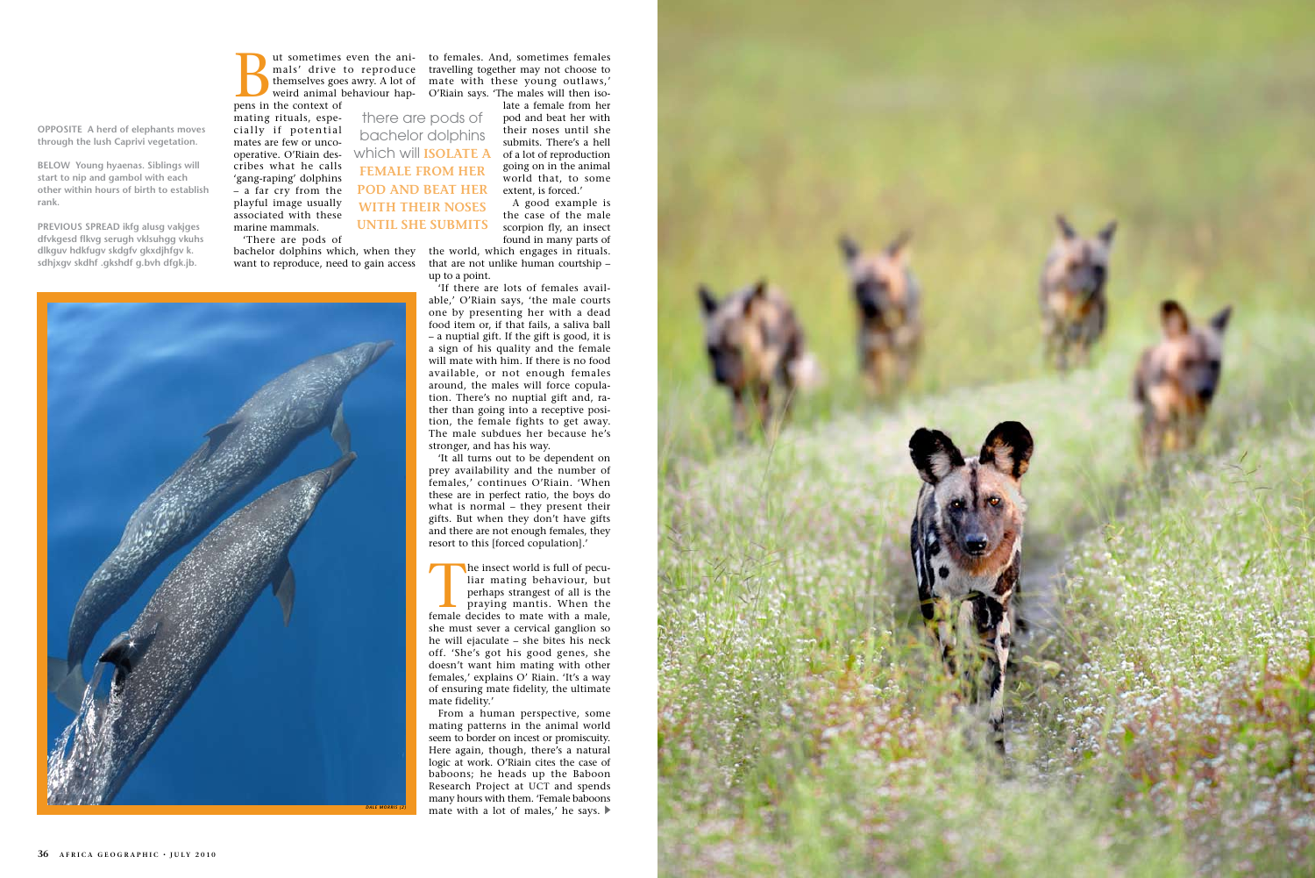

**OPPOSITE A herd of elephants moves through the lush Caprivi vegetation.**

**BELOW Young hyaenas. Siblings will start to nip and gambol with each other within hours of birth to establish rank.** 

mals' drive to reproduce travelling together may not choose to themselves goes awry. A lot of mate with these young outlaws,' weird animal behaviour hap-O'Riain says. 'The males will then isout sometimes even the ani- to females. And, sometimes females

all sometimes even the ani-<br>mals' drive to reproduce<br>themselves goes awry. A lot of<br>weird animal behaviour hap-<br>pens in the context of pens in the context of

**PREVIOUS SPREAD ikfg alusg vakjges dfvkgesd flkvg serugh vklsuhgg vkuhs dlkguv hdkfugv skdgfv gkxdjhfgv k. sdhjxgv skdhf .gkshdf g.bvh dfgk.jb.**

mating rituals, especially if potential mates are few or uncooperative. O'Riain des-which will **ISOLATE A**  cribes what he calls 'gang-raping' dolphins – a far cry from the playful image usually associated with these marine mammals.

'There are pods of

bachelor dolphins which, when they the world, which engages in rituals. want to reproduce, need to gain access

the case of the male scorpion fly, an insect found in many parts of

The insect world is full of pecu-<br>liar mating behaviour, but<br>perhaps strangest of all is the<br>praying mantis. When the<br>female decides to mate with a male, liar mating behaviour, but perhaps strangest of all is the praying mantis. When the she must sever a cervical ganglion so he will ejaculate – she bites his neck off. 'She's got his good genes, she doesn't want him mating with other females,' explains O' Riain. 'It's a way of ensuring mate fidelity, the ultimate mate fidelity.'

From a human perspective, some mating patterns in the animal world seem to border on incest or promiscuity. Here again, though, there's a natural logic at work. O'Riain cites the case of baboons; he heads up the Baboon Research Project at UCT and spends many hours with them. 'Female baboons **DALE MORRIS (2)** mate with a lot of males,' he says.



that are not unlike human courtship – up to a point.

'If there are lots of females available,' O'Riain says, 'the male courts one by presenting her with a dead food item or, if that fails, a saliva ball – a nuptial gift. If the gift is good, it is a sign of his quality and the female will mate with him. If there is no food available, or not enough females around, the males will force copulation. There's no nuptial gift and, rather than going into a receptive position, the female fights to get away. The male subdues her because he's stronger, and has his way.

late a female from her pod and beat her with their noses until she submits. There's a hell of a lot of reproduction going on in the animal world that, to some extent, is forced.' A good example is there are pods of bachelor dolphins **FEMALE FROM HER POD AND BEAT HER WITH THEIR NOSES** 

> 'It all turns out to be dependent on prey availability and the number of females,' continues O'Riain. 'When these are in perfect ratio, the boys do what is normal – they present their gifts. But when they don't have gifts and there are not enough females, they resort to this [forced copulation].'

**UNTIL SHE SUBMITS**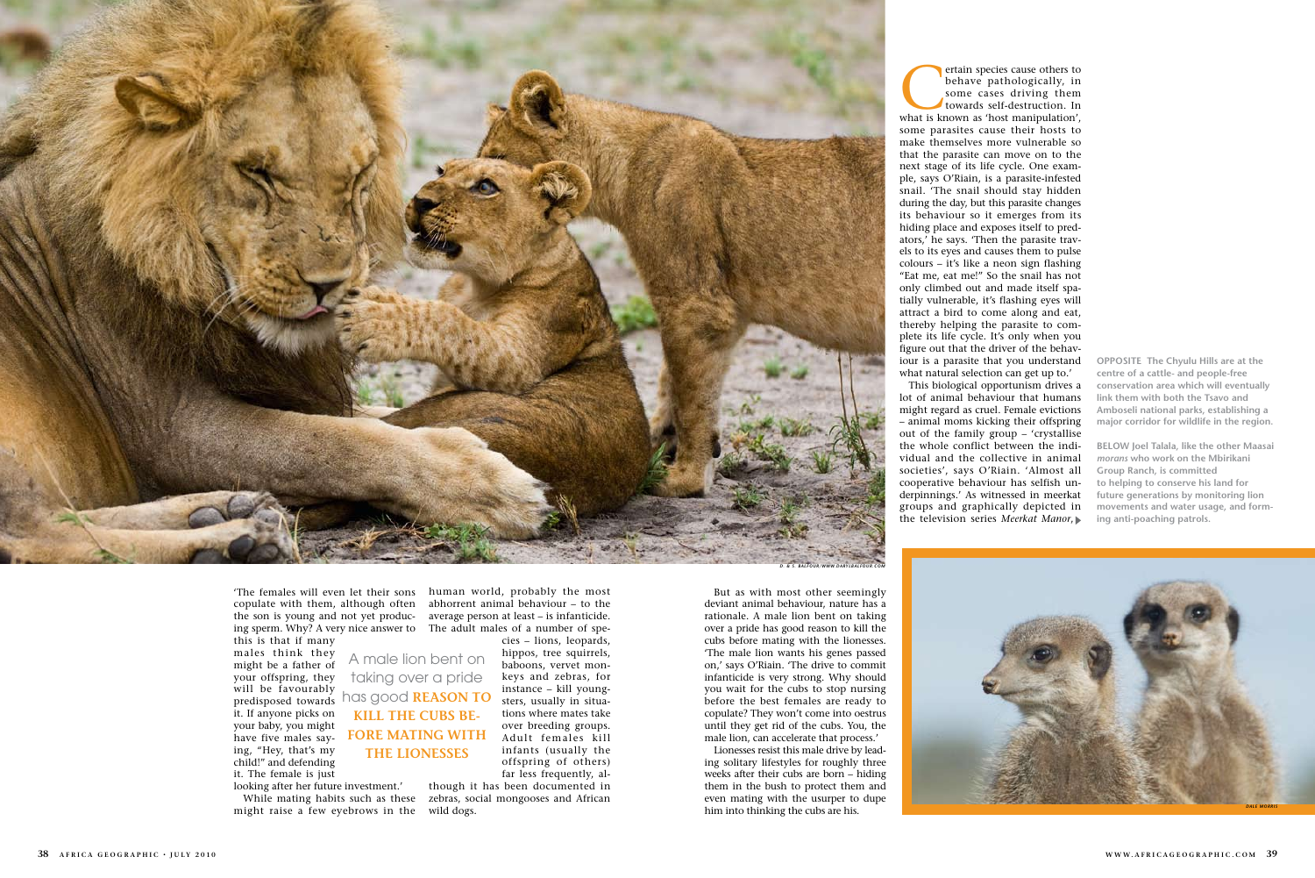But as with most other seemingly deviant animal behaviour, nature has a rationale. A male lion bent on taking over a pride has good reason to kill the cubs before mating with the lionesses. 'The male lion wants his genes passed on,' says O'Riain. 'The drive to commit infanticide is very strong. Why should you wait for the cubs to stop nursing before the best females are ready to copulate? They won't come into oestrus until they get rid of the cubs. You, the male lion, can accelerate that process.'

Lionesses resist this male drive by leading solitary lifestyles for roughly three weeks after their cubs are born – hiding them in the bush to protect them and even mating with the usurper to dupe him into thinking the cubs are his.

ertain species cause others to<br>
behave pathologically, in<br>
some cases driving them<br>
towards self-destruction. In<br>
what is known as 'host manipulation', behave pathologically, in some cases driving them towards self-destruction. In some parasites cause their hosts to make themselves more vulnerable so that the parasite can move on to the next stage of its life cycle. One example, says O'Riain, is a parasite-infested snail. 'The snail should stay hidden during the day, but this parasite changes its behaviour so it emerges from its hiding place and exposes itself to predators,' he says. 'Then the parasite travels to its eyes and causes them to pulse colours – it's like a neon sign flashing "Eat me, eat me!" So the snail has not only climbed out and made itself spatially vulnerable, it's flashing eyes will attract a bird to come along and eat, thereby helping the parasite to complete its life cycle. It's only when you figure out that the driver of the behaviour is a parasite that you understand what natural selection can get up to.'

This biological opportunism drives a lot of animal behaviour that humans might regard as cruel. Female evictions – animal moms kicking their offspring out of the family group – 'crystallise the whole conflict between the individual and the collective in animal societies', says O'Riain. 'Almost all cooperative behaviour has selfish underpinnings.' As witnessed in meerkat groups and graphically depicted in the television series *Meerkat Manor*,

'The females will even let their sons human world, probably the most copulate with them, although often abhorrent animal behaviour – to the the son is young and not yet produc-average person at least – is infanticide. ing sperm. Why? A very nice answer to The adult males of a number of spethis is that if many

males think they might be a father of your offspring, they will be favourably predisposed towards it. If anyone picks on your baby, you might have five males saying, "Hey, that's my child!" and defending it. The female is just

looking after her future investment.'

cies – lions, leopards,

While mating habits such as these might raise a few eyebrows in the wild dogs.

over breeding groups. Adult females kill infants (usually the offspring of others) far less frequently, although it has been documented in zebras, social mongooses and African

**OPPOSITE The Chyulu Hills are at the centre of a cattle- and people-free conservation area which will eventually link them with both the Tsavo and Amboseli national parks, establishing a major corridor for wildlife in the region.**

hippos, tree squirrels, baboons, vervet monkeys and zebras, for instance – kill youngsters, usually in situations where mates take A male lion bent on taking over a pride has good **REASON TO KILL THE CUBS BE-FORE MATING WITH THE LIONESSES**

**BELOW Joel Talala, like the other Maasai**  *morans* **who work on the Mbirikani Group Ranch, is committed to helping to conserve his land for future generations by monitoring lion movements and water usage, and form ing anti-poaching patrols.**